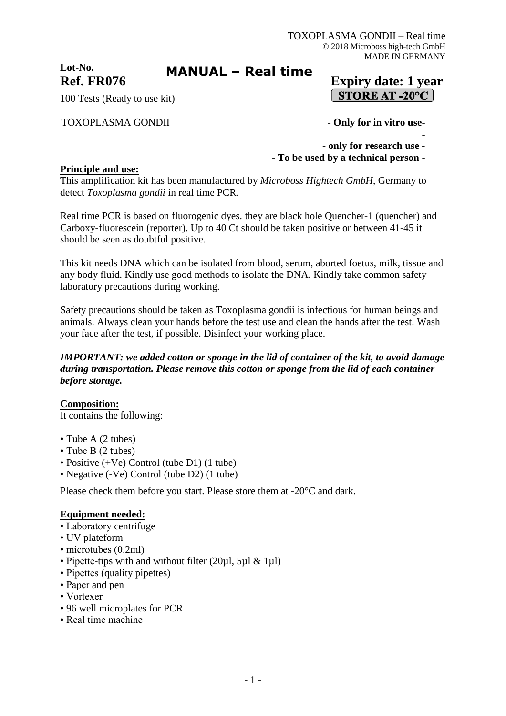**Lot-No.**

# **MANUAL – Real time**

## **Ref. FR076 Expiry date: 1 year**  $\vert$  STORE AT -20°C  $\vert$

**-**

100 Tests (Ready to use kit)

#### TOXOPLASMA GONDII **- Only for in vitro use-**

- **- only for research use -**
- **- To be used by a technical person -**

#### **Principle and use:**

This amplification kit has been manufactured by *Microboss Hightech GmbH*, Germany to detect *Toxoplasma gondii* in real time PCR.

Real time PCR is based on fluorogenic dyes. they are black hole Quencher-1 (quencher) and Carboxy-fluorescein (reporter). Up to 40 Ct should be taken positive or between 41-45 it should be seen as doubtful positive.

This kit needs DNA which can be isolated from blood, serum, aborted foetus, milk, tissue and any body fluid. Kindly use good methods to isolate the DNA. Kindly take common safety laboratory precautions during working.

Safety precautions should be taken as Toxoplasma gondii is infectious for human beings and animals. Always clean your hands before the test use and clean the hands after the test. Wash your face after the test, if possible. Disinfect your working place.

#### *IMPORTANT: we added cotton or sponge in the lid of container of the kit, to avoid damage during transportation. Please remove this cotton or sponge from the lid of each container before storage.*

**Composition:** It contains the following:

- Tube A (2 tubes)
- Tube B (2 tubes)
- Positive (+Ve) Control (tube D1) (1 tube)
- Negative (-Ve) Control (tube D2) (1 tube)

Please check them before you start. Please store them at -20°C and dark.

#### **Equipment needed:**

- Laboratory centrifuge
- UV plateform
- microtubes (0.2ml)
- Pipette-tips with and without filter (20µl, 5µl & 1µl)
- Pipettes (quality pipettes)
- Paper and pen
- Vortexer
- 96 well microplates for PCR
- Real time machine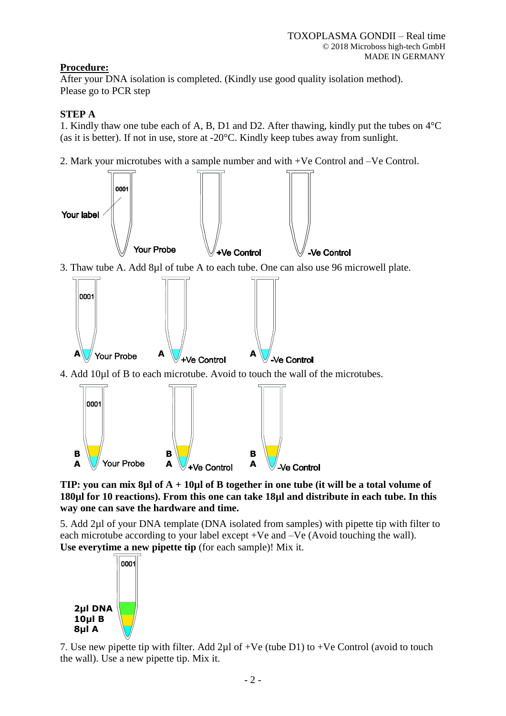## **Procedure:**

After your DNA isolation is completed. (Kindly use good quality isolation method). Please go to PCR step

## **STEP A**

1. Kindly thaw one tube each of A, B, D1 and D2. After thawing, kindly put the tubes on 4°C (as it is better). If not in use, store at -20°C. Kindly keep tubes away from sunlight.

2. Mark your microtubes with a sample number and with +Ve Control and –Ve Control.



**TIP: you can mix 8µl of A + 10µl of B together in one tube (it will be a total volume of 180µl for 10 reactions). From this one can take 18µl and distribute in each tube. In this way one can save the hardware and time.**

5. Add 2µl of your DNA template (DNA isolated from samples) with pipette tip with filter to each microtube according to your label except +Ve and –Ve (Avoid touching the wall). **Use everytime a new pipette tip** (for each sample)! Mix it.



7. Use new pipette tip with filter. Add  $2\mu$ l of +Ve (tube D1) to +Ve Control (avoid to touch the wall). Use a new pipette tip. Mix it.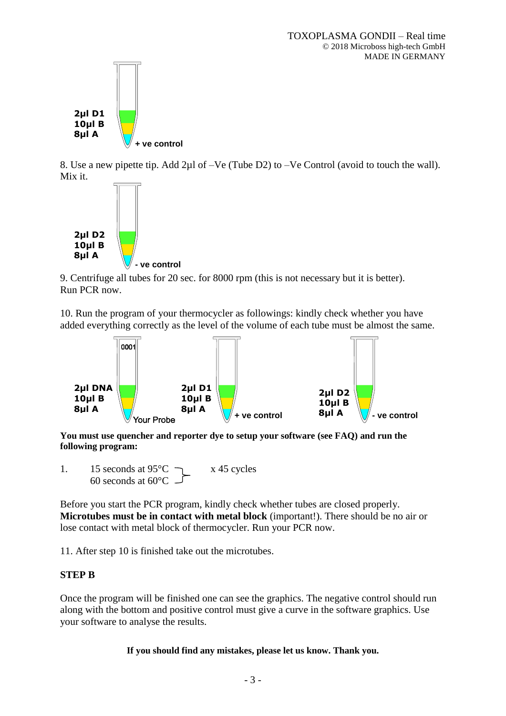

8. Use a new pipette tip. Add 2µl of –Ve (Tube D2) to –Ve Control (avoid to touch the wall). Mix it.



9. Centrifuge all tubes for 20 sec. for 8000 rpm (this is not necessary but it is better). Run PCR now.

10. Run the program of your thermocycler as followings: kindly check whether you have added everything correctly as the level of the volume of each tube must be almost the same.



**You must use quencher and reporter dye to setup your software (see FAQ) and run the following program:**

1. 15 seconds at  $95^{\circ}$ C  $\rightarrow x$  45 cycles 60 seconds at 60°C

Before you start the PCR program, kindly check whether tubes are closed properly. **Microtubes must be in contact with metal block** (important!). There should be no air or lose contact with metal block of thermocycler. Run your PCR now.

11. After step 10 is finished take out the microtubes.

### **STEP B**

Once the program will be finished one can see the graphics. The negative control should run along with the bottom and positive control must give a curve in the software graphics. Use your software to analyse the results.

**If you should find any mistakes, please let us know. Thank you.**